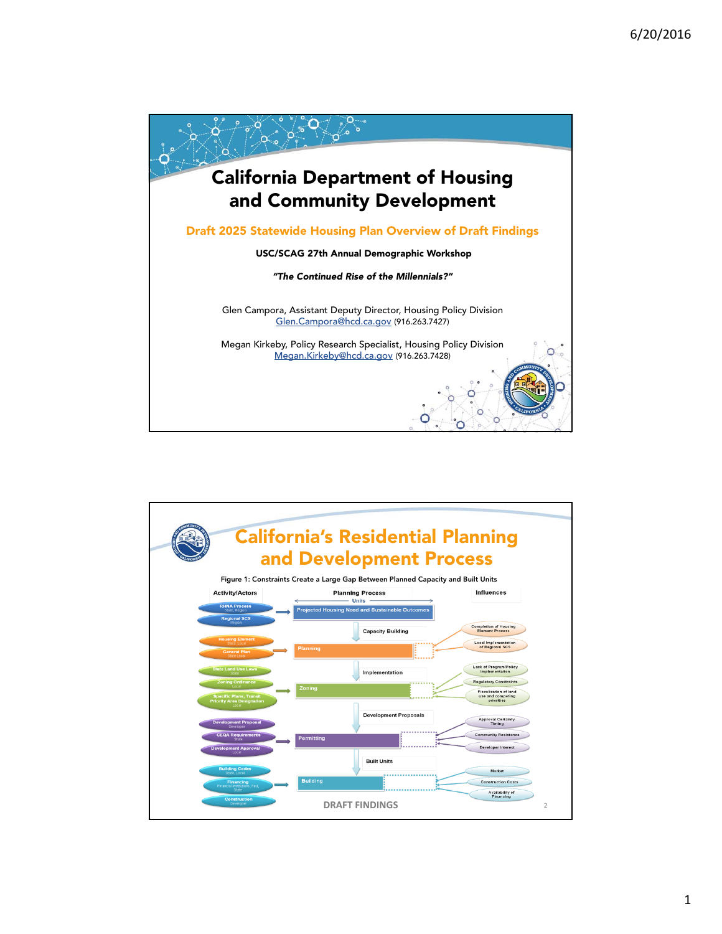

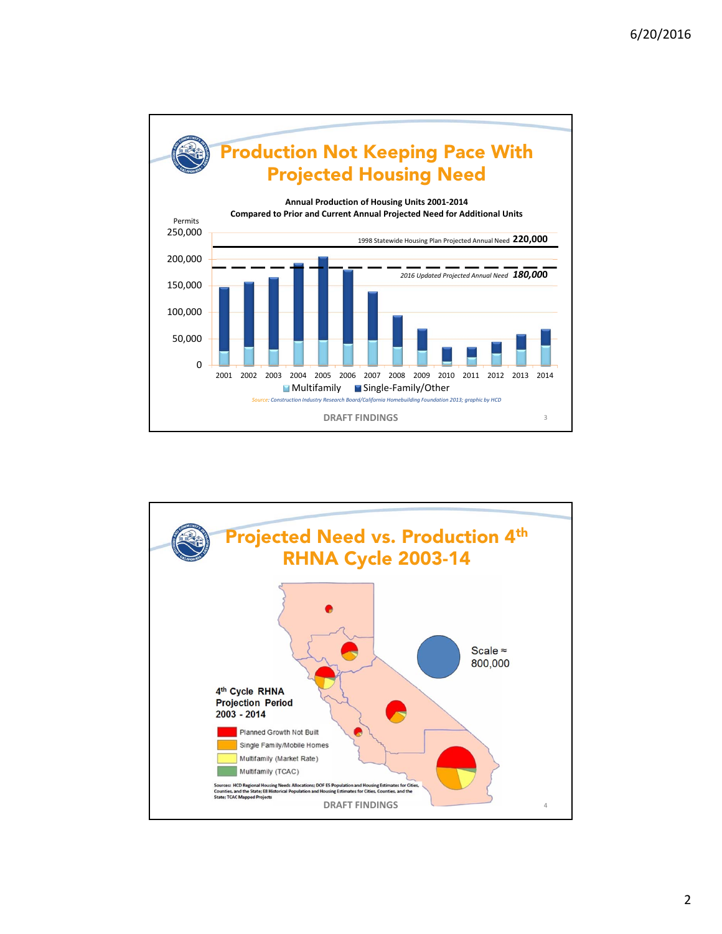

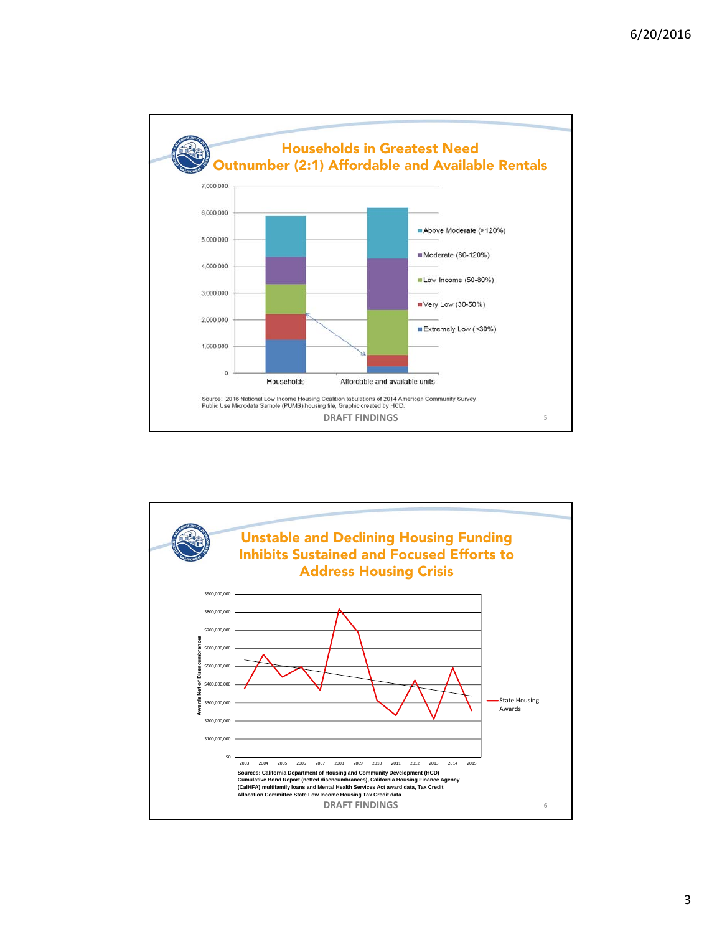